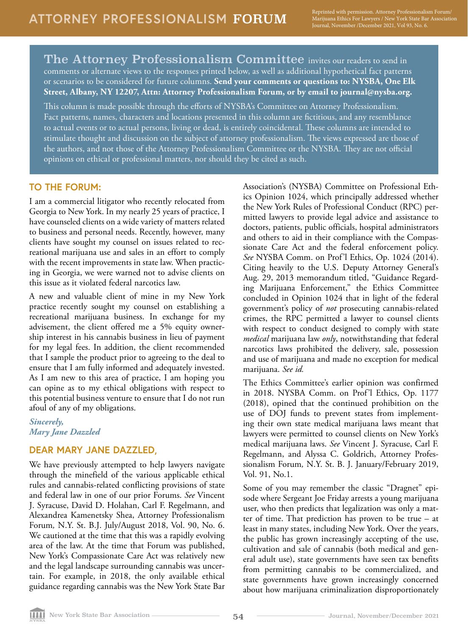The Attorney Professionalism Committee invites our readers to send in comments or alternate views to the responses printed below, as well as additional hypothetical fact patterns or scenarios to be considered for future columns. **Send your comments or questions to: NYSBA, One Elk Street, Albany, NY 12207, Attn: Attorney Professionalism Forum, or by email to journal@nysba.org.** 

This column is made possible through the efforts of NYSBA's Committee on Attorney Professionalism. Fact patterns, names, characters and locations presented in this column are fictitious, and any resemblance to actual events or to actual persons, living or dead, is entirely coincidental. These columns are intended to stimulate thought and discussion on the subject of attorney professionalism. The views expressed are those of the authors, and not those of the Attorney Professionalism Committee or the NYSBA. They are not official opinions on ethical or professional matters, nor should they be cited as such.

### **TO THE FORUM:**

I am a commercial litigator who recently relocated from Georgia to New York. In my nearly 25 years of practice, I have counseled clients on a wide variety of matters related to business and personal needs. Recently, however, many clients have sought my counsel on issues related to recreational marijuana use and sales in an effort to comply with the recent improvements in state law. When practicing in Georgia, we were warned not to advise clients on this issue as it violated federal narcotics law.

A new and valuable client of mine in my New York practice recently sought my counsel on establishing a recreational marijuana business. In exchange for my advisement, the client offered me a 5% equity ownership interest in his cannabis business in lieu of payment for my legal fees. In addition, the client recommended that I sample the product prior to agreeing to the deal to ensure that I am fully informed and adequately invested. As I am new to this area of practice, I am hoping you can opine as to my ethical obligations with respect to this potential business venture to ensure that I do not run afoul of any of my obligations.

*Sincerely, Mary Jane Dazzled*

## **DEAR MARY JANE DAZZLED,**

We have previously attempted to help lawyers navigate through the minefield of the various applicable ethical rules and cannabis-related conflicting provisions of state and federal law in one of our prior Forums. *See* Vincent J. Syracuse, David D. Holahan, Carl F. Regelmann, and Alexandrea Kamenetsky Shea, Attorney Professionalism Forum*,* N.Y. St. B.J. July/August 2018, Vol. 90, No. 6. We cautioned at the time that this was a rapidly evolving area of the law. At the time that Forum was published, New York's Compassionate Care Act was relatively new and the legal landscape surrounding cannabis was uncertain. For example, in 2018, the only available ethical guidance regarding cannabis was the New York State Bar

Association's (NYSBA) Committee on Professional Ethics Opinion 1024, which principally addressed whether the New York Rules of Professional Conduct (RPC) permitted lawyers to provide legal advice and assistance to doctors, patients, public officials, hospital administrators and others to aid in their compliance with the Compassionate Care Act and the federal enforcement policy. *See* NYSBA Comm. on Prof'l Ethics, Op. 1024 (2014). Citing heavily to the U.S. Deputy Attorney General's Aug. 29, 2013 memorandum titled, "Guidance Regarding Marijuana Enforcement," the Ethics Committee concluded in Opinion 1024 that in light of the federal government's policy of *not* prosecuting cannabis-related crimes, the RPC permitted a lawyer to counsel clients with respect to conduct designed to comply with state *medical* marijuana law *only*, notwithstanding that federal narcotics laws prohibited the delivery, sale, possession and use of marijuana and made no exception for medical marijuana. *See id.*

The Ethics Committee's earlier opinion was confirmed in 2018. NYSBA Comm. on Prof'l Ethics, Op. 1177 (2018), opined that the continued prohibition on the use of DOJ funds to prevent states from implementing their own state medical marijuana laws meant that lawyers were permitted to counsel clients on New York's medical marijuana laws. *See* Vincent J. Syracuse, Carl F. Regelmann, and Alyssa C. Goldrich, Attorney Professionalism Forum*,* N.Y. St. B. J. January/February 2019, Vol. 91, No.1.

Some of you may remember the classic "Dragnet" episode where Sergeant Joe Friday arrests a young marijuana user, who then predicts that legalization was only a matter of time. That prediction has proven to be true – at least in many states, including New York. Over the years, the public has grown increasingly accepting of the use, cultivation and sale of cannabis (both medical and general adult use), state governments have seen tax benefits from permitting cannabis to be commercialized, and state governments have grown increasingly concerned about how marijuana criminalization disproportionately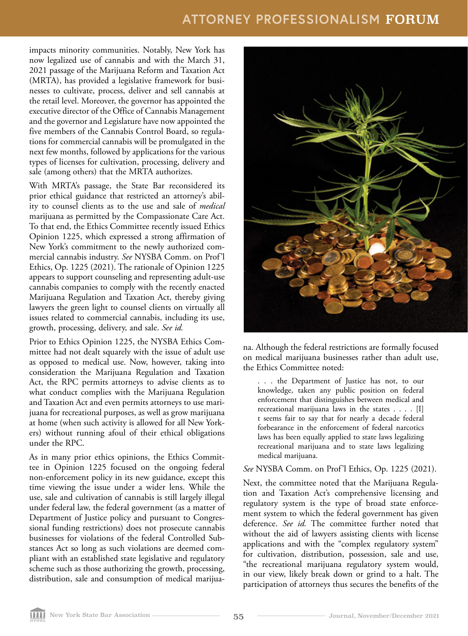# **ATTORNEY PROFESSIONALISM** FORUM

impacts minority communities. Notably, New York has now legalized use of cannabis and with the March 31, 2021 passage of the Marijuana Reform and Taxation Act (MRTA), has provided a legislative framework for businesses to cultivate, process, deliver and sell cannabis at the retail level. Moreover, the governor has appointed the executive director of the Office of Cannabis Management and the governor and Legislature have now appointed the five members of the Cannabis Control Board, so regulations for commercial cannabis will be promulgated in the next few months, followed by applications for the various types of licenses for cultivation, processing, delivery and sale (among others) that the MRTA authorizes.

With MRTA's passage, the State Bar reconsidered its prior ethical guidance that restricted an attorney's ability to counsel clients as to the use and sale of *medical*  marijuana as permitted by the Compassionate Care Act. To that end, the Ethics Committee recently issued Ethics Opinion 1225, which expressed a strong affirmation of New York's commitment to the newly authorized commercial cannabis industry. *See* NYSBA Comm. on Prof'l Ethics, Op. 1225 (2021). The rationale of Opinion 1225 appears to support counseling and representing adult-use cannabis companies to comply with the recently enacted Marijuana Regulation and Taxation Act, thereby giving lawyers the green light to counsel clients on virtually all issues related to commercial cannabis, including its use, growth, processing, delivery, and sale. *See id.* 

Prior to Ethics Opinion 1225, the NYSBA Ethics Committee had not dealt squarely with the issue of adult use as opposed to medical use. Now, however, taking into consideration the Marijuana Regulation and Taxation Act, the RPC permits attorneys to advise clients as to what conduct complies with the Marijuana Regulation and Taxation Act and even permits attorneys to use marijuana for recreational purposes, as well as grow marijuana at home (when such activity is allowed for all New Yorkers) without running afoul of their ethical obligations under the RPC.

As in many prior ethics opinions, the Ethics Committee in Opinion 1225 focused on the ongoing federal non-enforcement policy in its new guidance, except this time viewing the issue under a wider lens. While the use, sale and cultivation of cannabis is still largely illegal under federal law, the federal government (as a matter of Department of Justice policy and pursuant to Congressional funding restrictions) does not prosecute cannabis businesses for violations of the federal Controlled Substances Act so long as such violations are deemed compliant with an established state legislative and regulatory scheme such as those authorizing the growth, processing, distribution, sale and consumption of medical marijua-



na. Although the federal restrictions are formally focused on medical marijuana businesses rather than adult use, the Ethics Committee noted:

. . . the Department of Justice has not, to our knowledge, taken any public position on federal enforcement that distinguishes between medical and recreational marijuana laws in the states . . . . [I] t seems fair to say that for nearly a decade federal forbearance in the enforcement of federal narcotics laws has been equally applied to state laws legalizing recreational marijuana and to state laws legalizing medical marijuana.

#### *See* NYSBA Comm. on Prof'l Ethics, Op. 1225 (2021).

Next, the committee noted that the Marijuana Regulation and Taxation Act's comprehensive licensing and regulatory system is the type of broad state enforcement system to which the federal government has given deference. *See id.* The committee further noted that without the aid of lawyers assisting clients with license applications and with the "complex regulatory system" for cultivation, distribution, possession, sale and use, "the recreational marijuana regulatory system would, in our view, likely break down or grind to a halt. The participation of attorneys thus secures the benefits of the